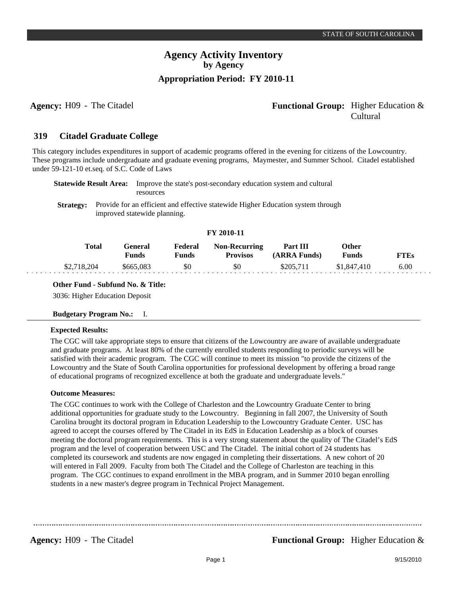### **Agency:** H09 - The Citadel **Functional Group:** Higher Education & Cultural

#### **Citadel Graduate College 319**

This category includes expenditures in support of academic programs offered in the evening for citizens of the Lowcountry. These programs include undergraduate and graduate evening programs, Maymester, and Summer School. Citadel established under 59-121-10 et.seq. of S.C. Code of Laws

|  | <b>Statewide Result Area:</b> Improve the state's post-secondary education system and cultural    |
|--|---------------------------------------------------------------------------------------------------|
|  | <b>resources</b>                                                                                  |
|  | <b>Strategy:</b> Provide for an efficient and effective statewide Higher Education system through |

improved statewide planning.

### **FY 2010-11**

| Total       | General<br>Funds | Federal<br>Funds | <b>Non-Recurring</b><br>Provisos | Part III<br>(ARRA Funds) | )ther<br>Funds | ~TEs |
|-------------|------------------|------------------|----------------------------------|--------------------------|----------------|------|
| \$2,718,204 | \$665,083        | \$0              | \$0                              | \$205.71                 | \$1,847,410    | 6.00 |

### **Other Fund - Subfund No. & Title:**

3036: Higher Education Deposit

### **Budgetary Program No.:** I.

### **Expected Results:**

. . .

The CGC will take appropriate steps to ensure that citizens of the Lowcountry are aware of available undergraduate and graduate programs. At least 80% of the currently enrolled students responding to periodic surveys will be satisfied with their academic program. The CGC will continue to meet its mission "to provide the citizens of the Lowcountry and the State of South Carolina opportunities for professional development by offering a broad range of educational programs of recognized excellence at both the graduate and undergraduate levels."

### **Outcome Measures:**

The CGC continues to work with the College of Charleston and the Lowcountry Graduate Center to bring additional opportunities for graduate study to the Lowcountry. Beginning in fall 2007, the University of South Carolina brought its doctoral program in Education Leadership to the Lowcountry Graduate Center. USC has agreed to accept the courses offered by The Citadel in its EdS in Education Leadership as a block of courses meeting the doctoral program requirements. This is a very strong statement about the quality of The Citadel's EdS program and the level of cooperation between USC and The Citadel. The initial cohort of 24 students has completed its coursework and students are now engaged in completing their dissertations. A new cohort of 20 will entered in Fall 2009. Faculty from both The Citadel and the College of Charleston are teaching in this program. The CGC continues to expand enrollment in the MBA program, and in Summer 2010 began enrolling students in a new master's degree program in Technical Project Management.

**Agency:** H09 - The Citadel **Functional Group:** Higher Education &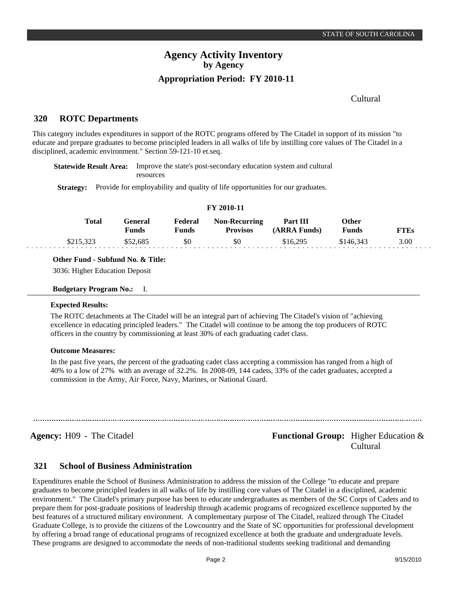### Cultural

#### **ROTC Departments 320**

This category includes expenditures in support of the ROTC programs offered by The Citadel in support of its mission "to educate and prepare graduates to become principled leaders in all walks of life by instilling core values of The Citadel in a disciplined, academic environment." Section 59-121-10 et.seq.

**Statewide Result Area:** Improve the state's post-secondary education system and cultural resources

**Strategy:** Provide for employability and quality of life opportunities for our graduates.

| Total     | General<br><b>Funds</b> | Federal<br>Funds | <b>Non-Recurring</b><br><b>Provisos</b> | <b>Part III</b><br>(ARRA Funds) | <b>Other</b><br><b>Funds</b> | <b>FTEs</b> |
|-----------|-------------------------|------------------|-----------------------------------------|---------------------------------|------------------------------|-------------|
| \$215,323 | \$52.685                | \$0              | SO.                                     | \$16.295                        | \$146.343                    | 3.00        |

**FY 2010-11**

**Other Fund - Subfund No. & Title:**

3036: Higher Education Deposit

#### **Budgetary Program No.:** I.

#### **Expected Results:**

The ROTC detachments at The Citadel will be an integral part of achieving The Citadel's vision of "achieving excellence in educating principled leaders." The Citadel will continue to be among the top producers of ROTC officers in the country by commissioning at least 30% of each graduating cadet class.

#### **Outcome Measures:**

In the past five years, the percent of the graduating cadet class accepting a commission has ranged from a high of 40% to a low of 27% with an average of 32.2%. In 2008-09, 144 cadets, 33% of the cadet graduates, accepted a commission in the Army, Air Force, Navy, Marines, or National Guard.

**Agency:** H09 - The Citadel **Functional Group:** Higher Education & Cultural

#### **School of Business Administration 321**

Expenditures enable the School of Business Administration to address the mission of the College "to educate and prepare graduates to become principled leaders in all walks of life by instilling core values of The Citadel in a disciplined, academic environment." The Citadel's primary purpose has been to educate undergraduates as members of the SC Corps of Cadets and to prepare them for post-graduate positions of leadership through academic programs of recognized excellence supported by the best features of a structured military environment. A complementary purpose of The Citadel, realized through The Citadel Graduate College, is to provide the citizens of the Lowcountry and the State of SC opportunities for professional development by offering a broad range of educational programs of recognized excellence at both the graduate and undergraduate levels. These programs are designed to accommodate the needs of non-traditional students seeking traditional and demanding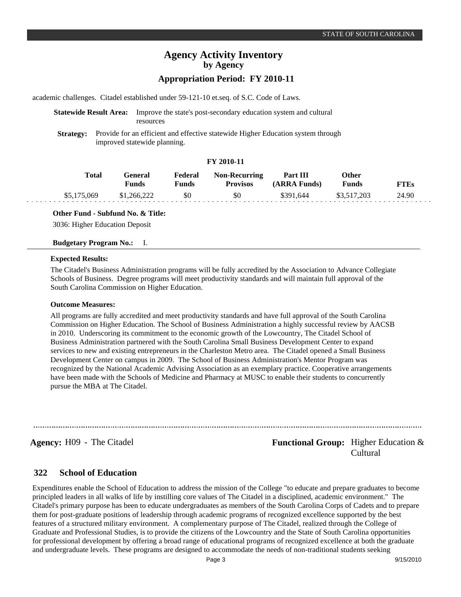academic challenges. Citadel established under 59-121-10 et.seq. of S.C. Code of Laws.

### **Statewide Result Area:** Improve the state's post-secondary education system and cultural resources

**Strategy:** Provide for an efficient and effective statewide Higher Education system through improved statewide planning.

### **FY 2010-11**

| Total       | General<br><b>Funds</b> | Federal<br><b>Funds</b> | <b>Non-Recurring</b><br><b>Provisos</b> | Part III<br>(ARRA Funds) | <b>Other</b><br><b>Funds</b> | FTEs  |
|-------------|-------------------------|-------------------------|-----------------------------------------|--------------------------|------------------------------|-------|
| \$5,175,069 | \$1,266,222             | -80                     | \$0                                     | \$391.644                | \$3,517,203                  | 24.90 |

**Other Fund - Subfund No. & Title:**

3036: Higher Education Deposit

#### **Budgetary Program No.:** I.

#### **Expected Results:**

The Citadel's Business Administration programs will be fully accredited by the Association to Advance Collegiate Schools of Business. Degree programs will meet productivity standards and will maintain full approval of the South Carolina Commission on Higher Education.

#### **Outcome Measures:**

All programs are fully accredited and meet productivity standards and have full approval of the South Carolina Commission on Higher Education. The School of Business Administration a highly successful review by AACSB in 2010. Underscoring its commitment to the economic growth of the Lowcountry, The Citadel School of Business Administration partnered with the South Carolina Small Business Development Center to expand services to new and existing entrepreneurs in the Charleston Metro area. The Citadel opened a Small Business Development Center on campus in 2009. The School of Business Administration's Mentor Program was recognized by the National Academic Advising Association as an exemplary practice. Cooperative arrangements have been made with the Schools of Medicine and Pharmacy at MUSC to enable their students to concurrently pursue the MBA at The Citadel.

**Agency:** H09 - The Citadel **Functional Group:** Higher Education & Cultural

#### **School of Education 322**

Expenditures enable the School of Education to address the mission of the College "to educate and prepare graduates to become principled leaders in all walks of life by instilling core values of The Citadel in a disciplined, academic environment." The Citadel's primary purpose has been to educate undergraduates as members of the South Carolina Corps of Cadets and to prepare them for post-graduate positions of leadership through academic programs of recognized excellence supported by the best features of a structured military environment. A complementary purpose of The Citadel, realized through the College of Graduate and Professional Studies, is to provide the citizens of the Lowcountry and the State of South Carolina opportunities for professional development by offering a broad range of educational programs of recognized excellence at both the graduate and undergraduate levels. These programs are designed to accommodate the needs of non-traditional students seeking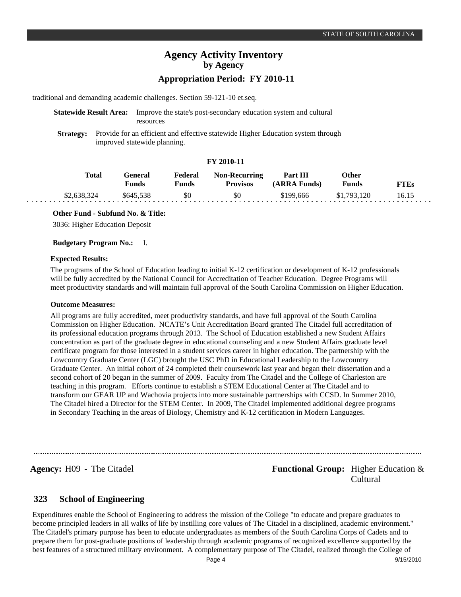traditional and demanding academic challenges. Section 59-121-10 et.seq.

### **Statewide Result Area:** Improve the state's post-secondary education system and cultural resources

**Strategy:** Provide for an efficient and effective statewide Higher Education system through improved statewide planning.

### **FY 2010-11**

| Total       | General<br>Funds | Federal<br>Funds | <b>Non-Recurring</b><br><b>Provisos</b> | Part III<br>(ARRA Funds) | Other<br>Funds | "TEs  |
|-------------|------------------|------------------|-----------------------------------------|--------------------------|----------------|-------|
| \$2,638,324 | \$645,538        | \$0              | \$0                                     | \$199,666                | \$1,793,120    | 16.15 |

**Other Fund - Subfund No. & Title:**

3036: Higher Education Deposit

#### **Budgetary Program No.:** I.

#### **Expected Results:**

The programs of the School of Education leading to initial K-12 certification or development of K-12 professionals will be fully accredited by the National Council for Accreditation of Teacher Education. Degree Programs will meet productivity standards and will maintain full approval of the South Carolina Commission on Higher Education.

#### **Outcome Measures:**

All programs are fully accredited, meet productivity standards, and have full approval of the South Carolina Commission on Higher Education. NCATE's Unit Accreditation Board granted The Citadel full accreditation of its professional education programs through 2013. The School of Education established a new Student Affairs concentration as part of the graduate degree in educational counseling and a new Student Affairs graduate level certificate program for those interested in a student services career in higher education. The partnership with the Lowcountry Graduate Center (LGC) brought the USC PhD in Educational Leadership to the Lowcountry Graduate Center. An initial cohort of 24 completed their coursework last year and began their dissertation and a second cohort of 20 began in the summer of 2009. Faculty from The Citadel and the College of Charleston are teaching in this program. Efforts continue to establish a STEM Educational Center at The Citadel and to transform our GEAR UP and Wachovia projects into more sustainable partnerships with CCSD. In Summer 2010, The Citadel hired a Director for the STEM Center. In 2009, The Citadel implemented additional degree programs in Secondary Teaching in the areas of Biology, Chemistry and K-12 certification in Modern Languages.

**Agency:** H09 - The Citadel **Functional Group:** Higher Education & Cultural

#### **School of Engineering 323**

Expenditures enable the School of Engineering to address the mission of the College "to educate and prepare graduates to become principled leaders in all walks of life by instilling core values of The Citadel in a disciplined, academic environment." The Citadel's primary purpose has been to educate undergraduates as members of the South Carolina Corps of Cadets and to prepare them for post-graduate positions of leadership through academic programs of recognized excellence supported by the best features of a structured military environment. A complementary purpose of The Citadel, realized through the College of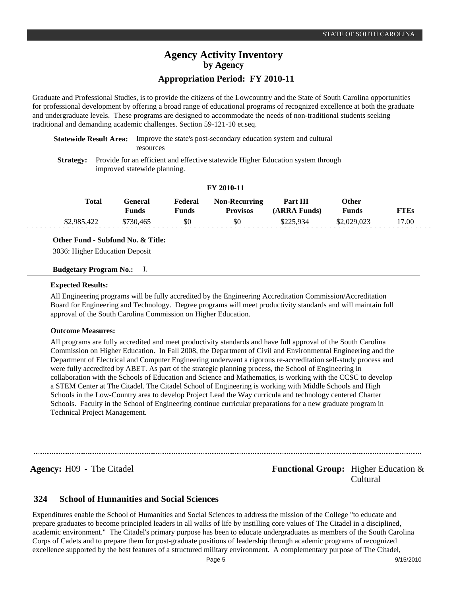# **Agency Activity Inventory by Agency**

### **Appropriation Period: FY 2010-11**

Graduate and Professional Studies, is to provide the citizens of the Lowcountry and the State of South Carolina opportunities for professional development by offering a broad range of educational programs of recognized excellence at both the graduate and undergraduate levels. These programs are designed to accommodate the needs of non-traditional students seeking traditional and demanding academic challenges. Section 59-121-10 et.seq.

**Statewide Result Area:** Improve the state's post-secondary education system and cultural resources

**Strategy:** Provide for an efficient and effective statewide Higher Education system through improved statewide planning.

#### **FY 2010-11**

| Total       | General<br>Funds | Federal<br>Funds | <b>Non-Recurring</b><br><b>Provisos</b> | Part III<br>(ARRA Funds) | Other<br>Funds | FTEs  |
|-------------|------------------|------------------|-----------------------------------------|--------------------------|----------------|-------|
| \$2,985,422 | \$730,465        | \$0              | \$0                                     | \$225,934                | \$2,029,023    | 17.00 |

**Other Fund - Subfund No. & Title:**

3036: Higher Education Deposit

### **Budgetary Program No.:** I.

#### **Expected Results:**

All Engineering programs will be fully accredited by the Engineering Accreditation Commission/Accreditation Board for Engineering and Technology. Degree programs will meet productivity standards and will maintain full approval of the South Carolina Commission on Higher Education.

#### **Outcome Measures:**

All programs are fully accredited and meet productivity standards and have full approval of the South Carolina Commission on Higher Education. In Fall 2008, the Department of Civil and Environmental Engineering and the Department of Electrical and Computer Engineering underwent a rigorous re-accreditation self-study process and were fully accredited by ABET. As part of the strategic planning process, the School of Engineering in collaboration with the Schools of Education and Science and Mathematics, is working with the CCSC to develop a STEM Center at The Citadel. The Citadel School of Engineering is working with Middle Schools and High Schools in the Low-Country area to develop Project Lead the Way curricula and technology centered Charter Schools. Faculty in the School of Engineering continue curricular preparations for a new graduate program in Technical Project Management.

### **Agency:** H09 - The Citadel **Functional Group:** Higher Education & Cultural

#### **School of Humanities and Social Sciences 324**

Expenditures enable the School of Humanities and Social Sciences to address the mission of the College "to educate and prepare graduates to become principled leaders in all walks of life by instilling core values of The Citadel in a disciplined, academic environment." The Citadel's primary purpose has been to educate undergraduates as members of the South Carolina Corps of Cadets and to prepare them for post-graduate positions of leadership through academic programs of recognized excellence supported by the best features of a structured military environment. A complementary purpose of The Citadel,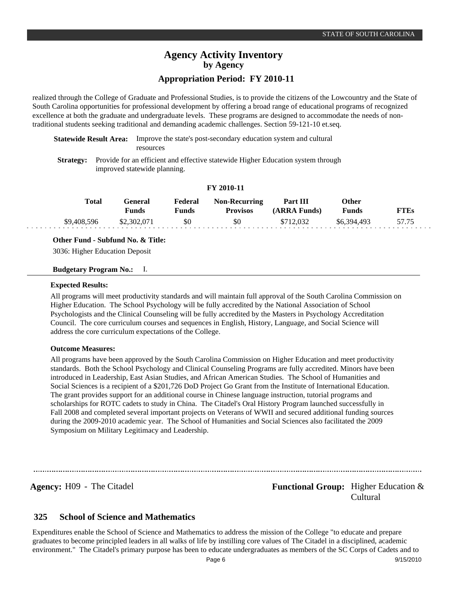realized through the College of Graduate and Professional Studies, is to provide the citizens of the Lowcountry and the State of South Carolina opportunities for professional development by offering a broad range of educational programs of recognized excellence at both the graduate and undergraduate levels. These programs are designed to accommodate the needs of nontraditional students seeking traditional and demanding academic challenges. Section 59-121-10 et.seq.

**Statewide Result Area:** Improve the state's post-secondary education system and cultural resources

**Strategy:** Provide for an efficient and effective statewide Higher Education system through improved statewide planning.

#### **FY 2010-11**

| Total       | Feneral<br>Funds | Federal<br>Funds | <b>Non-Recurring</b><br><b>Provisos</b> | Part III<br>(ARRA Funds) | Other<br><b>Funds</b> | FTEs  |
|-------------|------------------|------------------|-----------------------------------------|--------------------------|-----------------------|-------|
| \$9,408,596 | \$2,302,071      | \$0              | \$0                                     | \$712,032                | \$6,394,493           | 57.75 |

**Other Fund - Subfund No. & Title:**

3036: Higher Education Deposit

### **Budgetary Program No.:** I.

#### **Expected Results:**

All programs will meet productivity standards and will maintain full approval of the South Carolina Commission on Higher Education. The School Psychology will be fully accredited by the National Association of School Psychologists and the Clinical Counseling will be fully accredited by the Masters in Psychology Accreditation Council. The core curriculum courses and sequences in English, History, Language, and Social Science will address the core curriculum expectations of the College.

#### **Outcome Measures:**

All programs have been approved by the South Carolina Commission on Higher Education and meet productivity standards. Both the School Psychology and Clinical Counseling Programs are fully accredited. Minors have been introduced in Leadership, East Asian Studies, and African American Studies. The School of Humanities and Social Sciences is a recipient of a \$201,726 DoD Project Go Grant from the Institute of International Education. The grant provides support for an additional course in Chinese language instruction, tutorial programs and scholarships for ROTC cadets to study in China. The Citadel's Oral History Program launched successfully in Fall 2008 and completed several important projects on Veterans of WWII and secured additional funding sources during the 2009-2010 academic year. The School of Humanities and Social Sciences also facilitated the 2009 Symposium on Military Legitimacy and Leadership.

**Agency:** H09 - The Citadel **Functional Group:** Higher Education & Cultural

#### **School of Science and Mathematics 325**

Expenditures enable the School of Science and Mathematics to address the mission of the College "to educate and prepare graduates to become principled leaders in all walks of life by instilling core values of The Citadel in a disciplined, academic environment." The Citadel's primary purpose has been to educate undergraduates as members of the SC Corps of Cadets and to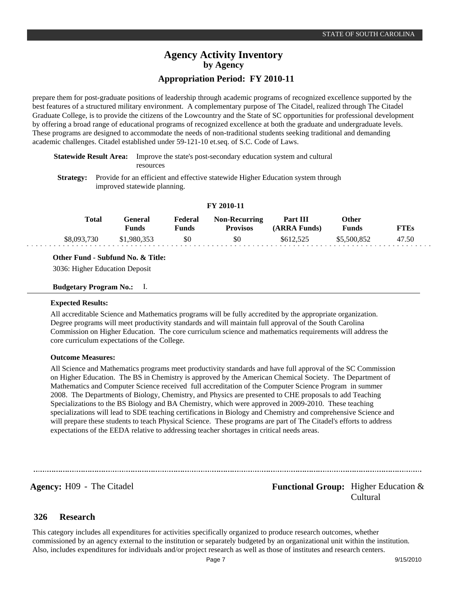prepare them for post-graduate positions of leadership through academic programs of recognized excellence supported by the best features of a structured military environment. A complementary purpose of The Citadel, realized through The Citadel Graduate College, is to provide the citizens of the Lowcountry and the State of SC opportunities for professional development by offering a broad range of educational programs of recognized excellence at both the graduate and undergraduate levels. These programs are designed to accommodate the needs of non-traditional students seeking traditional and demanding academic challenges. Citadel established under 59-121-10 et.seq. of S.C. Code of Laws.

|           | <b>Statewide Result Area:</b> Improve the state's post-secondary education system and cultural |
|-----------|------------------------------------------------------------------------------------------------|
|           | resources                                                                                      |
| Strotogy. | Provide for an efficient and effective statewide Higher Education system through               |

or an efficient and effective statewide Higher Education system through improved statewide planning.

#### **FY 2010-11**

| Total       | General<br>Funds | Federal<br>Funds | <b>Non-Recurring</b><br><b>Provisos</b> | Part III<br>(ARRA Funds) | Other<br><b>Funds</b> | <b>FTEs</b> |
|-------------|------------------|------------------|-----------------------------------------|--------------------------|-----------------------|-------------|
| \$8,093,730 | \$1,980,353      | \$0              | \$0                                     | \$612.525                | \$5,500,852           | 47.50       |

#### **Other Fund - Subfund No. & Title:**

3036: Higher Education Deposit

**Budgetary Program No.:** I.

#### **Expected Results:**

All accreditable Science and Mathematics programs will be fully accredited by the appropriate organization. Degree programs will meet productivity standards and will maintain full approval of the South Carolina Commission on Higher Education. The core curriculum science and mathematics requirements will address the core curriculum expectations of the College.

#### **Outcome Measures:**

All Science and Mathematics programs meet productivity standards and have full approval of the SC Commission on Higher Education. The BS in Chemistry is approved by the American Chemical Society. The Department of Mathematics and Computer Science received full accreditation of the Computer Science Program in summer 2008. The Departments of Biology, Chemistry, and Physics are presented to CHE proposals to add Teaching Specializations to the BS Biology and BA Chemistry, which were approved in 2009-2010. These teaching specializations will lead to SDE teaching certifications in Biology and Chemistry and comprehensive Science and will prepare these students to teach Physical Science. These programs are part of The Citadel's efforts to address expectations of the EEDA relative to addressing teacher shortages in critical needs areas.

**Agency:** H09 - The Citadel **Functional Group:** Higher Education & Cultural

#### **Research 326**

This category includes all expenditures for activities specifically organized to produce research outcomes, whether commissioned by an agency external to the institution or separately budgeted by an organizational unit within the institution. Also, includes expenditures for individuals and/or project research as well as those of institutes and research centers.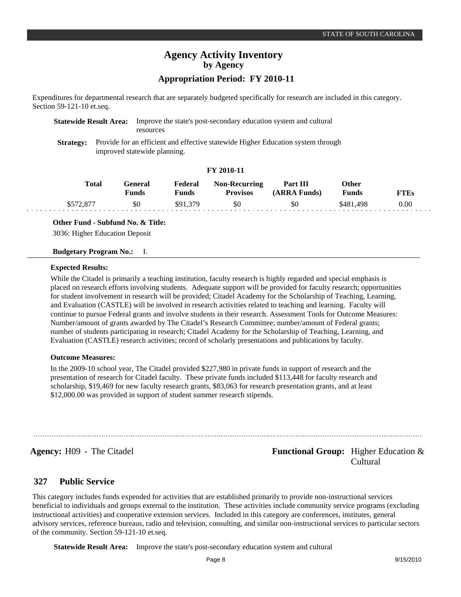Expenditures for departmental research that are separately budgeted specifically for research are included in this category. Section 59-121-10 et.seq.

| <b>Statewide Result Area:</b> Improve the state's post-secondary education system and cultural |  |  |  |  |
|------------------------------------------------------------------------------------------------|--|--|--|--|
| resources                                                                                      |  |  |  |  |
|                                                                                                |  |  |  |  |

**Strategy:** Provide for an efficient and effective statewide Higher Education system through improved statewide planning.

### **FY 2010-11**

| <b>Total</b> | ÷eneral<br>Funds | Federal<br>Funds | <b>Non-Recurring</b><br><b>Provisos</b> | Part III<br>(ARRA Funds) | Other<br>Funds | <b>FTEs</b> |
|--------------|------------------|------------------|-----------------------------------------|--------------------------|----------------|-------------|
| \$572,877    | \$0              | \$91,379         | \$0                                     | \$0                      | \$481,498      | $0.00\,$    |

### **Other Fund - Subfund No. & Title:**

3036: Higher Education Deposit

#### **Budgetary Program No.:** I.

#### **Expected Results:**

While the Citadel is primarily a teaching institution, faculty research is highly regarded and special emphasis is placed on research efforts involving students. Adequate support will be provided for faculty research; opportunities for student involvement in research will be provided; Citadel Academy for the Scholarship of Teaching, Learning, and Evaluation (CASTLE) will be involved in research activities related to teaching and learning. Faculty will continue to pursue Federal grants and involve students in their research. Assessment Tools for Outcome Measures: Number/amount of grants awarded by The Citadel's Research Committee; number/amount of Federal grants; number of students participating in research; Citadel Academy for the Scholarship of Teaching, Learning, and Evaluation (CASTLE) research activities; record of scholarly presentations and publications by faculty.

#### **Outcome Measures:**

In the 2009-10 school year, The Citadel provided \$227,980 in private funds in support of research and the presentation of research for Citadel faculty. These private funds included \$113,448 for faculty research and scholarship, \$19,469 for new faculty research grants, \$83,063 for research presentation grants, and at least \$12,000.00 was provided in support of student summer research stipends.

**Agency:** H09 - The Citadel **Functional Group:** Higher Education & Cultural

#### **Public Service 327**

This category includes funds expended for activities that are established primarily to provide non-instructional services beneficial to individuals and groups external to the institution. These activities include community service programs (excluding instructional activities) and cooperative extension services. Included in this category are conferences, institutes, general advisory services, reference bureaus, radio and television, consulting, and similar non-instructional services to particular sectors of the community. Section 59-121-10 et.seq.

**Statewide Result Area:** Improve the state's post-secondary education system and cultural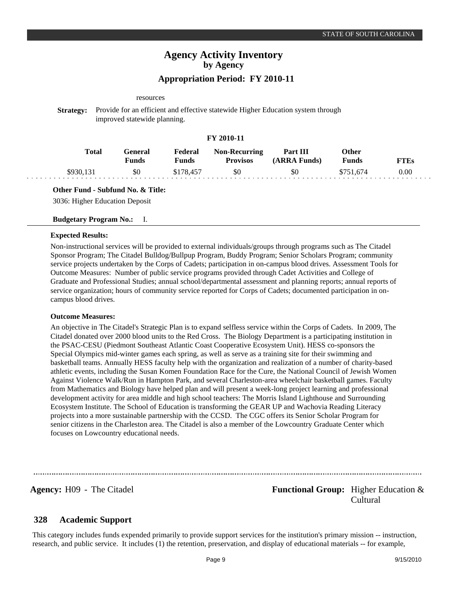# **Agency Activity Inventory by Agency**

## **Appropriation Period: FY 2010-11**

#### resources

**Strategy:** Provide for an efficient and effective statewide Higher Education system through improved statewide planning.

### **FY 2010-11**

| Total    | General<br>Funds | Federal<br><b>Funds</b> | <b>Non-Recurring</b><br><b>Provisos</b> | Part III<br>(ARRA Funds) | )ther<br>Funds | FTEs |
|----------|------------------|-------------------------|-----------------------------------------|--------------------------|----------------|------|
| \$930.13 | \$0              |                         | \$0                                     | \$C                      |                | 0.00 |

#### **Other Fund - Subfund No. & Title:**

3036: Higher Education Deposit

### **Budgetary Program No.:** I.

#### **Expected Results:**

Non-instructional services will be provided to external individuals/groups through programs such as The Citadel Sponsor Program; The Citadel Bulldog/Bullpup Program, Buddy Program; Senior Scholars Program; community service projects undertaken by the Corps of Cadets; participation in on-campus blood drives. Assessment Tools for Outcome Measures: Number of public service programs provided through Cadet Activities and College of Graduate and Professional Studies; annual school/departmental assessment and planning reports; annual reports of service organization; hours of community service reported for Corps of Cadets; documented participation in oncampus blood drives.

#### **Outcome Measures:**

An objective in The Citadel's Strategic Plan is to expand selfless service within the Corps of Cadets. In 2009, The Citadel donated over 2000 blood units to the Red Cross. The Biology Department is a participating institution in the PSAC-CESU (Piedmont Southeast Atlantic Coast Cooperative Ecosystem Unit). HESS co-sponsors the Special Olympics mid-winter games each spring, as well as serve as a training site for their swimming and basketball teams. Annually HESS faculty help with the organization and realization of a number of charity-based athletic events, including the Susan Komen Foundation Race for the Cure, the National Council of Jewish Women Against Violence Walk/Run in Hampton Park, and several Charleston-area wheelchair basketball games. Faculty from Mathematics and Biology have helped plan and will present a week-long project learning and professional development activity for area middle and high school teachers: The Morris Island Lighthouse and Surrounding Ecosystem Institute. The School of Education is transforming the GEAR UP and Wachovia Reading Literacy projects into a more sustainable partnership with the CCSD. The CGC offers its Senior Scholar Program for senior citizens in the Charleston area. The Citadel is also a member of the Lowcountry Graduate Center which focuses on Lowcountry educational needs.

**Agency:** H09 - The Citadel **Functional Group:** Functional Group: Higher Education & Cultural

#### **Academic Support 328**

This category includes funds expended primarily to provide support services for the institution's primary mission -- instruction, research, and public service. It includes (1) the retention, preservation, and display of educational materials -- for example,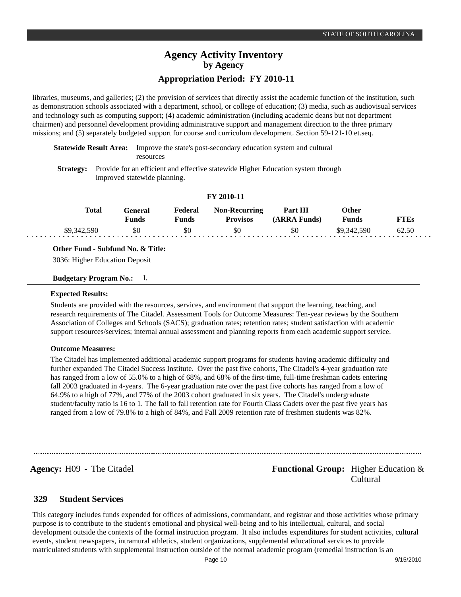libraries, museums, and galleries; (2) the provision of services that directly assist the academic function of the institution, such as demonstration schools associated with a department, school, or college of education; (3) media, such as audiovisual services and technology such as computing support; (4) academic administration (including academic deans but not department chairmen) and personnel development providing administrative support and management direction to the three primary missions; and (5) separately budgeted support for course and curriculum development. Section 59-121-10 et.seq.

**Statewide Result Area:** Improve the state's post-secondary education system and cultural resources

**Strategy:** Provide for an efficient and effective statewide Higher Education system through improved statewide planning.

|              |                         |                  | I I <i>A</i> VIV-II                     |                          |                       |             |
|--------------|-------------------------|------------------|-----------------------------------------|--------------------------|-----------------------|-------------|
| <b>Total</b> | General<br><b>Funds</b> | Federal<br>Funds | <b>Non-Recurring</b><br><b>Provisos</b> | Part III<br>(ARRA Funds) | Other<br><b>Funds</b> | <b>FTEs</b> |
| \$9,342,590  | \$0                     | \$0              | \$0                                     | \$0                      | \$9,342,590           | 62.50       |

**FY 2010-11**

### **Other Fund - Subfund No. & Title:**

3036: Higher Education Deposit

#### **Budgetary Program No.:** I.

#### **Expected Results:**

Students are provided with the resources, services, and environment that support the learning, teaching, and research requirements of The Citadel. Assessment Tools for Outcome Measures: Ten-year reviews by the Southern Association of Colleges and Schools (SACS); graduation rates; retention rates; student satisfaction with academic support resources/services; internal annual assessment and planning reports from each academic support service.

#### **Outcome Measures:**

The Citadel has implemented additional academic support programs for students having academic difficulty and further expanded The Citadel Success Institute. Over the past five cohorts, The Citadel's 4-year graduation rate has ranged from a low of 55.0% to a high of 68%, and 68% of the first-time, full-time freshman cadets entering fall 2003 graduated in 4-years. The 6-year graduation rate over the past five cohorts has ranged from a low of 64.9% to a high of 77%, and 77% of the 2003 cohort graduated in six years. The Citadel's undergraduate student/faculty ratio is 16 to 1. The fall to fall retention rate for Fourth Class Cadets over the past five years has ranged from a low of 79.8% to a high of 84%, and Fall 2009 retention rate of freshmen students was 82%.

### **Agency:** H09 - The Citadel **Functional Group:** Higher Education & Cultural

#### **Student Services 329**

This category includes funds expended for offices of admissions, commandant, and registrar and those activities whose primary purpose is to contribute to the student's emotional and physical well-being and to his intellectual, cultural, and social development outside the contexts of the formal instruction program. It also includes expenditures for student activities, cultural events, student newspapers, intramural athletics, student organizations, supplemental educational services to provide matriculated students with supplemental instruction outside of the normal academic program (remedial instruction is an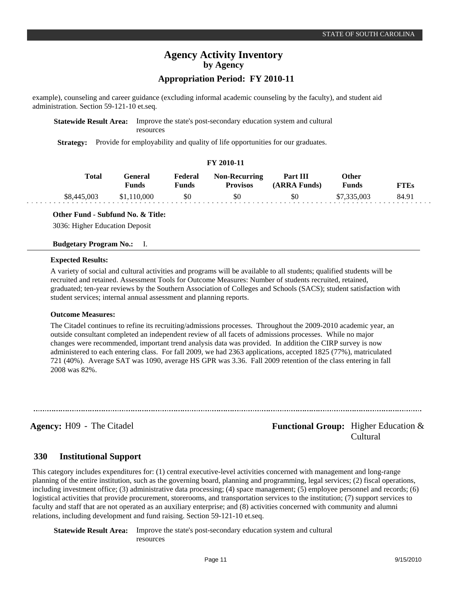example), counseling and career guidance (excluding informal academic counseling by the faculty), and student aid administration. Section 59-121-10 et.seq.

**Statewide Result Area:** Improve the state's post-secondary education system and cultural resources

**Strategy:** Provide for employability and quality of life opportunities for our graduates.

#### **FY 2010-11**

| Total       | <b>General</b><br>Funds | Federal<br>Funds | <b>Non-Recurring</b><br><b>Provisos</b> | Part III<br>(ARRA Funds) | Other<br><b>Funds</b> | <b>FTEs</b> |  |
|-------------|-------------------------|------------------|-----------------------------------------|--------------------------|-----------------------|-------------|--|
| \$8,445,003 | \$1.110.000             | \$0              | \$0                                     | \$0                      | \$7,335,003           | 84.91       |  |

**Other Fund - Subfund No. & Title:**

3036: Higher Education Deposit

**Budgetary Program No.:** I.

#### **Expected Results:**

A variety of social and cultural activities and programs will be available to all students; qualified students will be recruited and retained. Assessment Tools for Outcome Measures: Number of students recruited, retained, graduated; ten-year reviews by the Southern Association of Colleges and Schools (SACS); student satisfaction with student services; internal annual assessment and planning reports.

#### **Outcome Measures:**

The Citadel continues to refine its recruiting/admissions processes. Throughout the 2009-2010 academic year, an outside consultant completed an independent review of all facets of admissions processes. While no major changes were recommended, important trend analysis data was provided. In addition the CIRP survey is now administered to each entering class. For fall 2009, we had 2363 applications, accepted 1825 (77%), matriculated 721 (40%). Average SAT was 1090, average HS GPR was 3.36. Fall 2009 retention of the class entering in fall 2008 was 82%.

**Agency:** H09 - The Citadel **Functional Group:** Higher Education & Cultural

#### **Institutional Support 330**

This category includes expenditures for: (1) central executive-level activities concerned with management and long-range planning of the entire institution, such as the governing board, planning and programming, legal services; (2) fiscal operations, including investment office; (3) administrative data processing; (4) space management; (5) employee personnel and records; (6) logistical activities that provide procurement, storerooms, and transportation services to the institution; (7) support services to faculty and staff that are not operated as an auxiliary enterprise; and (8) activities concerned with community and alumni relations, including development and fund raising. Section 59-121-10 et.seq.

**Statewide Result Area:** Improve the state's post-secondary education system and cultural resources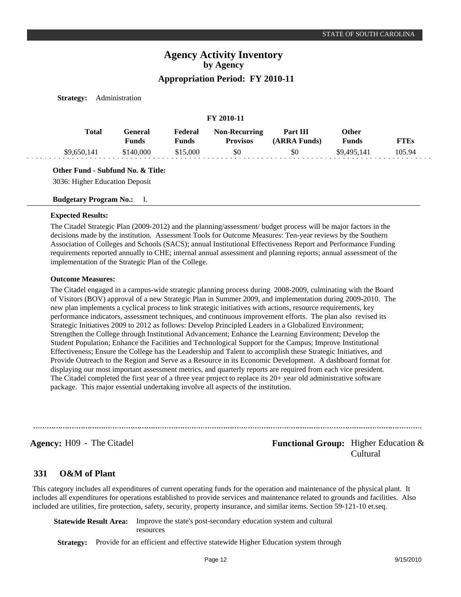**FY 2010-11**

**Strategy:** Administration

|             |                  |                  | FY 2010-11                              |                          |                              |             |
|-------------|------------------|------------------|-----------------------------------------|--------------------------|------------------------------|-------------|
| Total       | General<br>Funds | Federal<br>Funds | <b>Non-Recurring</b><br><b>Provisos</b> | Part III<br>(ARRA Funds) | <b>Other</b><br><b>Funds</b> | <b>FTEs</b> |
| \$9,650,141 | \$140,000        | \$15,000         | \$0                                     | \$0                      | \$9,495,141                  | 105.94      |

**Other Fund - Subfund No. & Title:**

3036: Higher Education Deposit

**Budgetary Program No.:** I.

#### **Expected Results:**

The Citadel Strategic Plan (2009-2012) and the planning/assessment/ budget process will be major factors in the decisions made by the institution. Assessment Tools for Outcome Measures: Ten-year reviews by the Southern Association of Colleges and Schools (SACS); annual Institutional Effectiveness Report and Performance Funding requirements reported annually to CHE; internal annual assessment and planning reports; annual assessment of the implementation of the Strategic Plan of the College.

#### **Outcome Measures:**

The Citadel engaged in a campus-wide strategic planning process during 2008-2009, culminating with the Board of Visitors (BOV) approval of a new Strategic Plan in Summer 2009, and implementation during 2009-2010. The new plan implements a cyclical process to link strategic initiatives with actions, resource requirements, key performance indicators, assessment techniques, and continuous improvement efforts. The plan also revised its Strategic Initiatives 2009 to 2012 as follows: Develop Principled Leaders in a Globalized Environment; Strengthen the College through Institutional Advancement; Enhance the Learning Environment; Develop the Student Population; Enhance the Facilities and Technological Support for the Campus; Improve Institutional Effectiveness; Ensure the College has the Leadership and Talent to accomplish these Strategic Initiatives, and Provide Outreach to the Region and Serve as a Resource in its Economic Development. A dashboard format for displaying our most important assessment metrics, and quarterly reports are required from each vice president. The Citadel completed the first year of a three year project to replace its 20+ year old administrative software package. This major essential undertaking involve all aspects of the institution.

**Agency:** H09 - The Citadel **Functional Group:** Higher Education & Cultural

#### **O&M of Plant 331**

This category includes all expenditures of current operating funds for the operation and maintenance of the physical plant. It includes all expenditures for operations established to provide services and maintenance related to grounds and facilities. Also included are utilities, fire protection, safety, security, property insurance, and similar items. Section 59-121-10 et.seq.

**Statewide Result Area:** Improve the state's post-secondary education system and cultural resources

**Strategy:** Provide for an efficient and effective statewide Higher Education system through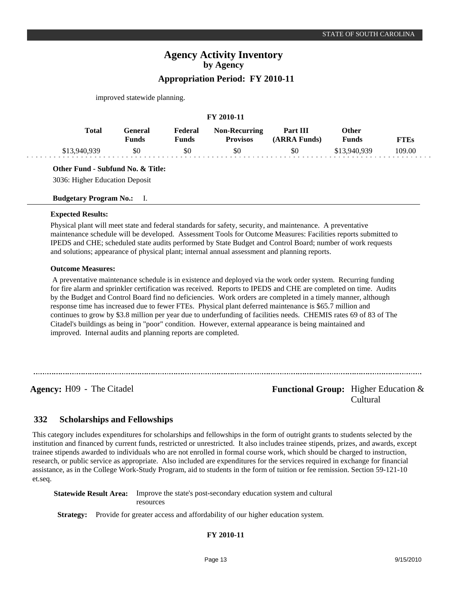improved statewide planning.

|              |              |                         |                         | FY 2010-11                              |                          |                |             |
|--------------|--------------|-------------------------|-------------------------|-----------------------------------------|--------------------------|----------------|-------------|
|              | <b>Total</b> | General<br><b>Funds</b> | Federal<br><b>Funds</b> | <b>Non-Recurring</b><br><b>Provisos</b> | Part III<br>(ARRA Funds) | Other<br>Funds | <b>FTEs</b> |
| \$13,940,939 |              | \$0                     | \$0                     | \$0                                     | \$0                      | \$13,940,939   | 109.00      |

**Other Fund - Subfund No. & Title:**

3036: Higher Education Deposit

**Budgetary Program No.:** I.

#### **Expected Results:**

Physical plant will meet state and federal standards for safety, security, and maintenance. A preventative maintenance schedule will be developed. Assessment Tools for Outcome Measures: Facilities reports submitted to IPEDS and CHE; scheduled state audits performed by State Budget and Control Board; number of work requests and solutions; appearance of physical plant; internal annual assessment and planning reports.

### **Outcome Measures:**

 A preventative maintenance schedule is in existence and deployed via the work order system. Recurring funding for fire alarm and sprinkler certification was received. Reports to IPEDS and CHE are completed on time. Audits by the Budget and Control Board find no deficiencies. Work orders are completed in a timely manner, although response time has increased due to fewer FTEs. Physical plant deferred maintenance is \$65.7 million and continues to grow by \$3.8 million per year due to underfunding of facilities needs. CHEMIS rates 69 of 83 of The Citadel's buildings as being in "poor" condition. However, external appearance is being maintained and improved. Internal audits and planning reports are completed.

**Agency:** H09 - The Citadel **Functional Group:** Higher Education & Cultural

#### **Scholarships and Fellowships 332**

This category includes expenditures for scholarships and fellowships in the form of outright grants to students selected by the institution and financed by current funds, restricted or unrestricted. It also includes trainee stipends, prizes, and awards, except trainee stipends awarded to individuals who are not enrolled in formal course work, which should be charged to instruction, research, or public service as appropriate. Also included are expenditures for the services required in exchange for financial assistance, as in the College Work-Study Program, aid to students in the form of tuition or fee remission. Section 59-121-10 et.seq.

**Statewide Result Area:** Improve the state's post-secondary education system and cultural resources

**Strategy:** Provide for greater access and affordability of our higher education system.

**FY 2010-11**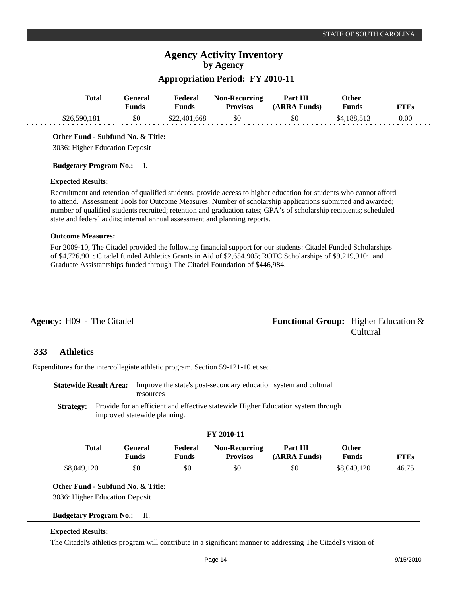# **Agency Activity Inventory by Agency**

## **Appropriation Period: FY 2010-11**

|                                         | <b>Total</b> | <b>General</b><br><b>Funds</b> | Federal<br><b>Funds</b>                                                                                      | <b>Non-Recurring</b><br><b>Provisos</b>                                          | Part III<br>(ARRA Funds)                                                                                                                                                                                                                                                                                                                                | Other<br><b>Funds</b> | <b>FTEs</b> |
|-----------------------------------------|--------------|--------------------------------|--------------------------------------------------------------------------------------------------------------|----------------------------------------------------------------------------------|---------------------------------------------------------------------------------------------------------------------------------------------------------------------------------------------------------------------------------------------------------------------------------------------------------------------------------------------------------|-----------------------|-------------|
| \$26,590,181                            |              | \$0                            | \$22,401,668                                                                                                 | \$0                                                                              | \$0                                                                                                                                                                                                                                                                                                                                                     | \$4,188,513           | 0.00        |
| Other Fund - Subfund No. & Title:       |              |                                |                                                                                                              |                                                                                  |                                                                                                                                                                                                                                                                                                                                                         |                       |             |
| 3036: Higher Education Deposit          |              |                                |                                                                                                              |                                                                                  |                                                                                                                                                                                                                                                                                                                                                         |                       |             |
| <b>Budgetary Program No.:</b>           |              | I.                             |                                                                                                              |                                                                                  |                                                                                                                                                                                                                                                                                                                                                         |                       |             |
| <b>Expected Results:</b>                |              |                                |                                                                                                              |                                                                                  |                                                                                                                                                                                                                                                                                                                                                         |                       |             |
|                                         |              |                                |                                                                                                              | state and federal audits; internal annual assessment and planning reports.       | Recruitment and retention of qualified students; provide access to higher education for students who cannot afford<br>to attend. Assessment Tools for Outcome Measures: Number of scholarship applications submitted and awarded;<br>number of qualified students recruited; retention and graduation rates; GPA's of scholarship recipients; scheduled |                       |             |
| <b>Outcome Measures:</b>                |              |                                |                                                                                                              |                                                                                  |                                                                                                                                                                                                                                                                                                                                                         |                       |             |
|                                         |              |                                |                                                                                                              |                                                                                  | For 2009-10, The Citadel provided the following financial support for our students: Citadel Funded Scholarships                                                                                                                                                                                                                                         |                       |             |
|                                         |              |                                | of \$4,726,901; Citadel funded Athletics Grants in Aid of \$2,654,905; ROTC Scholarships of \$9,219,910; and | Graduate Assistantships funded through The Citadel Foundation of \$446,984.      |                                                                                                                                                                                                                                                                                                                                                         |                       |             |
|                                         |              |                                |                                                                                                              |                                                                                  | <b>Functional Group:</b> Higher Education $\&$                                                                                                                                                                                                                                                                                                          | Cultural              |             |
| <b>Athletics</b>                        |              |                                |                                                                                                              |                                                                                  |                                                                                                                                                                                                                                                                                                                                                         |                       |             |
|                                         |              |                                |                                                                                                              | Expenditures for the intercollegiate athletic program. Section 59-121-10 et.seq. |                                                                                                                                                                                                                                                                                                                                                         |                       |             |
| <b>Statewide Result Area:</b>           |              | resources                      |                                                                                                              |                                                                                  | Improve the state's post-secondary education system and cultural                                                                                                                                                                                                                                                                                        |                       |             |
| <b>Strategy:</b>                        |              | improved statewide planning.   |                                                                                                              |                                                                                  | Provide for an efficient and effective statewide Higher Education system through                                                                                                                                                                                                                                                                        |                       |             |
|                                         |              |                                |                                                                                                              | FY 2010-11                                                                       |                                                                                                                                                                                                                                                                                                                                                         |                       |             |
| <b>Agency:</b> H09 - The Citadel<br>333 | <b>Total</b> | General<br><b>Funds</b>        | Federal<br><b>Funds</b>                                                                                      | <b>Non-Recurring</b><br><b>Provisos</b>                                          | Part III<br>(ARRA Funds)                                                                                                                                                                                                                                                                                                                                | Other<br><b>Funds</b> | <b>FTEs</b> |

3036: Higher Education Deposit

### **Budgetary Program No.:** II.

### **Expected Results:**

The Citadel's athletics program will contribute in a significant manner to addressing The Citadel's vision of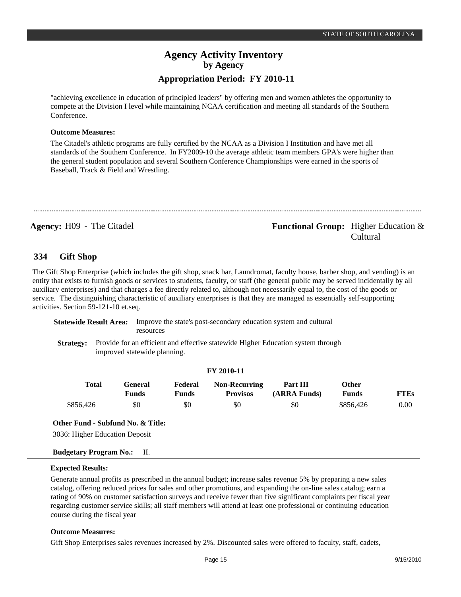"achieving excellence in education of principled leaders" by offering men and women athletes the opportunity to compete at the Division I level while maintaining NCAA certification and meeting all standards of the Southern Conference.

#### **Outcome Measures:**

The Citadel's athletic programs are fully certified by the NCAA as a Division I Institution and have met all standards of the Southern Conference. In FY2009-10 the average athletic team members GPA's were higher than the general student population and several Southern Conference Championships were earned in the sports of Baseball, Track & Field and Wrestling.

**Agency:** H09 - The Citadel **Functional Group:** Higher Education & Cultural

#### **Gift Shop 334**

The Gift Shop Enterprise (which includes the gift shop, snack bar, Laundromat, faculty house, barber shop, and vending) is an entity that exists to furnish goods or services to students, faculty, or staff (the general public may be served incidentally by all auxiliary enterprises) and that charges a fee directly related to, although not necessarily equal to, the cost of the goods or service. The distinguishing characteristic of auxiliary enterprises is that they are managed as essentially self-supporting activities. Section 59-121-10 et.seq.

**Statewide Result Area:** Improve the state's post-secondary education system and cultural resources

**Strategy:** Provide for an efficient and effective statewide Higher Education system through improved statewide planning.

### **FY 2010-11**

| Total     | General<br>Funds | Federal<br>Funds | <b>Non-Recurring</b><br><b>Provisos</b> | Part III<br>(ARRA Funds) | Other<br><b>Funds</b> | FTEs |
|-----------|------------------|------------------|-----------------------------------------|--------------------------|-----------------------|------|
| \$856.426 | 50               | \$0              | \$0                                     | \$0                      | \$856.426             | 0.00 |

### **Other Fund - Subfund No. & Title:**

3036: Higher Education Deposit

### **Budgetary Program No.:** II.

#### **Expected Results:**

Generate annual profits as prescribed in the annual budget; increase sales revenue 5% by preparing a new sales catalog, offering reduced prices for sales and other promotions, and expanding the on-line sales catalog; earn a rating of 90% on customer satisfaction surveys and receive fewer than five significant complaints per fiscal year regarding customer service skills; all staff members will attend at least one professional or continuing education course during the fiscal year

#### **Outcome Measures:**

Gift Shop Enterprises sales revenues increased by 2%. Discounted sales were offered to faculty, staff, cadets,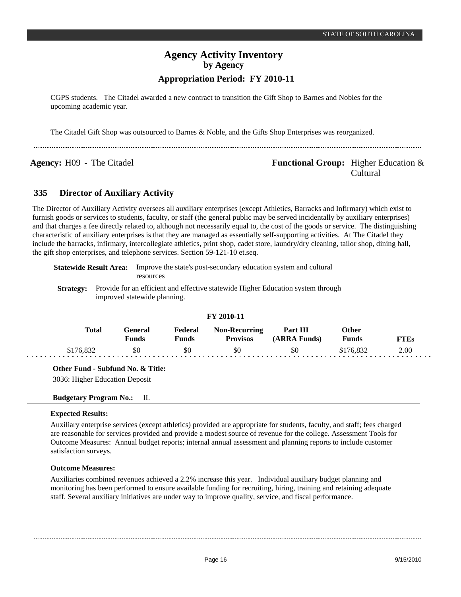CGPS students. The Citadel awarded a new contract to transition the Gift Shop to Barnes and Nobles for the upcoming academic year.

The Citadel Gift Shop was outsourced to Barnes & Noble, and the Gifts Shop Enterprises was reorganized.

**Agency:** H09 - The Citadel **Functional Group:** Higher Education & Cultural

#### **Director of Auxiliary Activity 335**

The Director of Auxiliary Activity oversees all auxiliary enterprises (except Athletics, Barracks and Infirmary) which exist to furnish goods or services to students, faculty, or staff (the general public may be served incidentally by auxiliary enterprises) and that charges a fee directly related to, although not necessarily equal to, the cost of the goods or service. The distinguishing characteristic of auxiliary enterprises is that they are managed as essentially self-supporting activities. At The Citadel they include the barracks, infirmary, intercollegiate athletics, print shop, cadet store, laundry/dry cleaning, tailor shop, dining hall, the gift shop enterprises, and telephone services. Section 59-121-10 et.seq.

|                  | Statewide Result Area: | Improve the state's post-secondary education system and cultural<br>resources                                    |
|------------------|------------------------|------------------------------------------------------------------------------------------------------------------|
| <b>Strategy:</b> |                        | Provide for an efficient and effective statewide Higher Education system through<br>improved statewide planning. |

### **FY 2010-11**

| Total     | General)<br><b>Funds</b> | Federal<br>Funds | <b>Non-Recurring</b><br><b>Provisos</b> | <b>Part III</b><br>(ARRA Funds) | Other<br><b>Funds</b> | FTEs |
|-----------|--------------------------|------------------|-----------------------------------------|---------------------------------|-----------------------|------|
| \$176.832 | \$0                      | \$0              | \$0                                     | \$0                             | \$176.832             | 2.00 |

**Other Fund - Subfund No. & Title:**

3036: Higher Education Deposit

#### **Budgetary Program No.:** II.

### **Expected Results:**

Auxiliary enterprise services (except athletics) provided are appropriate for students, faculty, and staff; fees charged are reasonable for services provided and provide a modest source of revenue for the college. Assessment Tools for Outcome Measures: Annual budget reports; internal annual assessment and planning reports to include customer satisfaction surveys.

### **Outcome Measures:**

Auxiliaries combined revenues achieved a 2.2% increase this year. Individual auxiliary budget planning and monitoring has been performed to ensure available funding for recruiting, hiring, training and retaining adequate staff. Several auxiliary initiatives are under way to improve quality, service, and fiscal performance.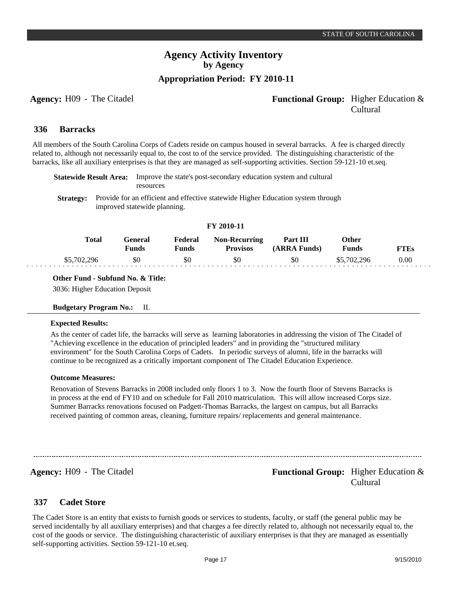### **Agency:** H09 - The Citadel **Functional Group:** Higher Education & Cultural

#### **Barracks 336**

All members of the South Carolina Corps of Cadets reside on campus housed in several barracks. A fee is charged directly related to, although not necessarily equal to, the cost to of the service provided. The distinguishing characteristic of the barracks, like all auxiliary enterprises is that they are managed as self-supporting activities. Section 59-121-10 et.seq.

| <b>Statewide Result Area:</b> Improve the state's post-secondary education system and cultural |
|------------------------------------------------------------------------------------------------|
| resources                                                                                      |

**Strategy:** Provide for an efficient and effective statewide Higher Education system through improved statewide planning.

|             |                          |                  | FY 2010-11                              |                          |                |      |  |
|-------------|--------------------------|------------------|-----------------------------------------|--------------------------|----------------|------|--|
| Total       | General)<br><b>Funds</b> | Federal<br>Funds | <b>Non-Recurring</b><br><b>Provisos</b> | Part III<br>(ARRA Funds) | Other<br>Funds | FTEs |  |
| \$5,702,296 | \$0                      | \$0              | \$0                                     | \$0                      | \$5,702,296    | 0.00 |  |

**FY 2010-11**

**Other Fund - Subfund No. & Title:**

3036: Higher Education Deposit

### **Budgetary Program No.:** II.

#### **Expected Results:**

As the center of cadet life, the barracks will serve as learning laboratories in addressing the vision of The Citadel of "Achieving excellence in the education of principled leaders" and in providing the "structured military environment" for the South Carolina Corps of Cadets. In periodic surveys of alumni, life in the barracks will continue to be recognized as a critically important component of The Citadel Education Experience.

#### **Outcome Measures:**

Renovation of Stevens Barracks in 2008 included only floors 1 to 3. Now the fourth floor of Stevens Barracks is in process at the end of FY10 and on schedule for Fall 2010 matriculation. This will allow increased Corps size. Summer Barracks renovations focused on Padgett-Thomas Barracks, the largest on campus, but all Barracks received painting of common areas, cleaning, furniture repairs/ replacements and general maintenance.

**Agency:** H09 - The Citadel **Functional Group:** Higher Education & Cultural

#### **Cadet Store 337**

The Cadet Store is an entity that exists to furnish goods or services to students, faculty, or staff (the general public may be served incidentally by all auxiliary enterprises) and that charges a fee directly related to, although not necessarily equal to, the cost of the goods or service. The distinguishing characteristic of auxiliary enterprises is that they are managed as essentially self-supporting activities. Section 59-121-10 et.seq.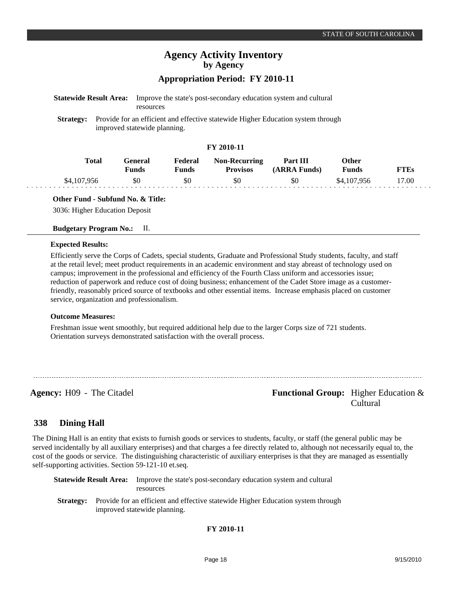\$4,107,956

**FTEs** 17.00

# **Agency Activity Inventory by Agency**

### **Appropriation Period: FY 2010-11**

\$0

\$0

| <b>Statewide Result Area:</b> |              | resources                      |                         |                                         | Improve the state's post-secondary education system and cultural                 |                              |
|-------------------------------|--------------|--------------------------------|-------------------------|-----------------------------------------|----------------------------------------------------------------------------------|------------------------------|
| <b>Strategy:</b>              |              | improved statewide planning.   |                         |                                         | Provide for an efficient and effective statewide Higher Education system through |                              |
|                               |              |                                |                         | FY 2010-11                              |                                                                                  |                              |
|                               | <b>Total</b> | <b>General</b><br><b>Funds</b> | Federal<br><b>Funds</b> | <b>Non-Recurring</b><br><b>Provisos</b> | Part III<br>(ARRA Funds)                                                         | <b>Other</b><br><b>Funds</b> |

\$0

### **Other Fund - Subfund No. & Title:**

\$0

3036: Higher Education Deposit

#### **Budgetary Program No.:** II.

#### **Expected Results:**

\$4,107,956

Efficiently serve the Corps of Cadets, special students, Graduate and Professional Study students, faculty, and staff at the retail level; meet product requirements in an academic environment and stay abreast of technology used on campus; improvement in the professional and efficiency of the Fourth Class uniform and accessories issue; reduction of paperwork and reduce cost of doing business; enhancement of the Cadet Store image as a customerfriendly, reasonably priced source of textbooks and other essential items. Increase emphasis placed on customer service, organization and professionalism.

#### **Outcome Measures:**

Freshman issue went smoothly, but required additional help due to the larger Corps size of 721 students. Orientation surveys demonstrated satisfaction with the overall process.

**Agency:** H09 - The Citadel **Functional Group:** Functional Group: Higher Education & Cultural

#### **Dining Hall 338**

The Dining Hall is an entity that exists to furnish goods or services to students, faculty, or staff (the general public may be served incidentally by all auxiliary enterprises) and that charges a fee directly related to, although not necessarily equal to, the cost of the goods or service. The distinguishing characteristic of auxiliary enterprises is that they are managed as essentially self-supporting activities. Section 59-121-10 et.seq.

|                  | <b>Statewide Result Area:</b> | Improve the state's post-secondary education system and cultural<br>resources                                    |
|------------------|-------------------------------|------------------------------------------------------------------------------------------------------------------|
| <b>Strategy:</b> |                               | Provide for an efficient and effective statewide Higher Education system through<br>improved statewide planning. |

### **FY 2010-11**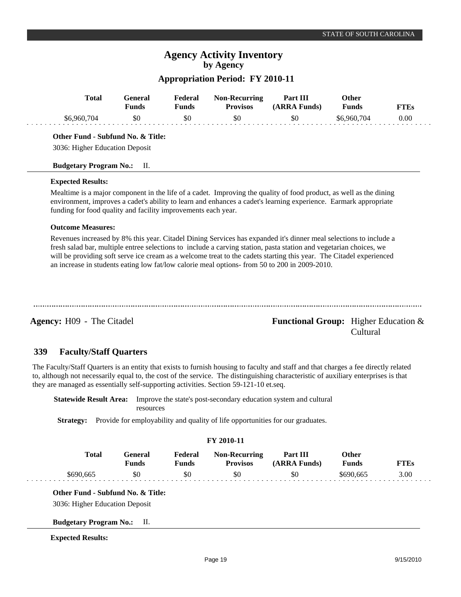# **Agency Activity Inventory by Agency**

### **Appropriation Period: FY 2010-11**

| <b>Total</b>                                                                                                       | <b>General</b><br><b>Funds</b> | Federal<br>Funds | <b>Non-Recurring</b><br><b>Provisos</b> | Part III<br>(ARRA Funds) | <b>Other</b><br><b>Funds</b> | <b>FTEs</b> |
|--------------------------------------------------------------------------------------------------------------------|--------------------------------|------------------|-----------------------------------------|--------------------------|------------------------------|-------------|
| \$6,960,704                                                                                                        | \$0                            | \$0              | \$0                                     | \$0                      | \$6,960,704                  | 0.00        |
| Other Fund - Subfund No. & Title:                                                                                  |                                |                  |                                         |                          |                              |             |
| 3036: Higher Education Deposit                                                                                     |                                |                  |                                         |                          |                              |             |
| <b>Budgetary Program No.:</b>                                                                                      | II.                            |                  |                                         |                          |                              |             |
| <b>Expected Results:</b>                                                                                           |                                |                  |                                         |                          |                              |             |
| Mealtime is a major component in the life of a cadet. Improving the quality of food product, as well as the dining |                                |                  |                                         |                          |                              |             |

environment, improves a cadet's ability to learn and enhances a cadet's learning experience. Earmark appropriate funding for food quality and facility improvements each year.

### **Outcome Measures:**

Revenues increased by 8% this year. Citadel Dining Services has expanded it's dinner meal selections to include a fresh salad bar, multiple entree selections to include a carving station, pasta station and vegetarian choices, we will be providing soft serve ice cream as a welcome treat to the cadets starting this year. The Citadel experienced an increase in students eating low fat/low calorie meal options- from 50 to 200 in 2009-2010.

**Agency:** H09 - The Citadel **Functional Group:** Higher Education & Cultural

#### **Faculty/Staff Quarters 339**

The Faculty/Staff Quarters is an entity that exists to furnish housing to faculty and staff and that charges a fee directly related to, although not necessarily equal to, the cost of the service. The distinguishing characteristic of auxiliary enterprises is that they are managed as essentially self-supporting activities. Section 59-121-10 et.seq.

**Statewide Result Area:** Improve the state's post-secondary education system and cultural resources

**Strategy:** Provide for employability and quality of life opportunities for our graduates.

### **FY 2010-11**

| Total | <del>`e</del> neral<br><b>Funds</b> | Federal<br>Funds | <b>Non-Recurring</b><br><b>Provisos</b> | Part III<br>(ARRA Funds) | )ther<br>Funds |      |
|-------|-------------------------------------|------------------|-----------------------------------------|--------------------------|----------------|------|
| .66'  | 50                                  | \$0              | \$0                                     | 50                       | 665            | 3.00 |

**Other Fund - Subfund No. & Title:**

3036: Higher Education Deposit

**Budgetary Program No.:** II.

### **Expected Results:**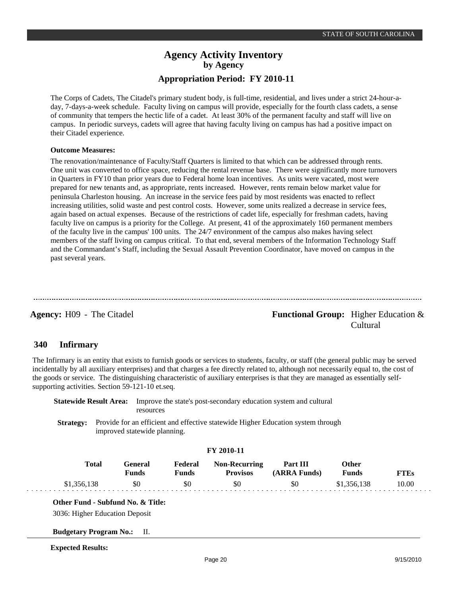The Corps of Cadets, The Citadel's primary student body, is full-time, residential, and lives under a strict 24-hour-aday, 7-days-a-week schedule. Faculty living on campus will provide, especially for the fourth class cadets, a sense of community that tempers the hectic life of a cadet. At least 30% of the permanent faculty and staff will live on campus. In periodic surveys, cadets will agree that having faculty living on campus has had a positive impact on their Citadel experience.

### **Outcome Measures:**

The renovation/maintenance of Faculty/Staff Quarters is limited to that which can be addressed through rents. One unit was converted to office space, reducing the rental revenue base. There were significantly more turnovers in Quarters in FY10 than prior years due to Federal home loan incentives. As units were vacated, most were prepared for new tenants and, as appropriate, rents increased. However, rents remain below market value for peninsula Charleston housing. An increase in the service fees paid by most residents was enacted to reflect increasing utilities, solid waste and pest control costs. However, some units realized a decrease in service fees, again based on actual expenses. Because of the restrictions of cadet life, especially for freshman cadets, having faculty live on campus is a priority for the College. At present, 41 of the approximately 160 permanent members of the faculty live in the campus' 100 units. The 24/7 environment of the campus also makes having select members of the staff living on campus critical. To that end, several members of the Information Technology Staff and the Commandant's Staff, including the Sexual Assault Prevention Coordinator, have moved on campus in the past several years.

**Agency:** H09 - The Citadel **Functional Group:** Higher Education & Cultural

#### **Infirmary 340**

The Infirmary is an entity that exists to furnish goods or services to students, faculty, or staff (the general public may be served incidentally by all auxiliary enterprises) and that charges a fee directly related to, although not necessarily equal to, the cost of the goods or service. The distinguishing characteristic of auxiliary enterprises is that they are managed as essentially selfsupporting activities. Section 59-121-10 et.seq.

**Statewide Result Area:** Improve the state's post-secondary education system and cultural resources

**Strategy:** Provide for an efficient and effective statewide Higher Education system through improved statewide planning.

### **FY 2010-11**

| <b>Total</b> | General<br>Funds | Federal<br>Funds | <b>Non-Recurring</b><br><b>Provisos</b> | Part III<br>(ARRA Funds) | Other<br>Funds | TTEs  |
|--------------|------------------|------------------|-----------------------------------------|--------------------------|----------------|-------|
|              | \$0              | 50               | \$0                                     | \$0                      | \$1,356,138    | 10.00 |

**Other Fund - Subfund No. & Title:**

3036: Higher Education Deposit

**Budgetary Program No.:** II.

**Expected Results:**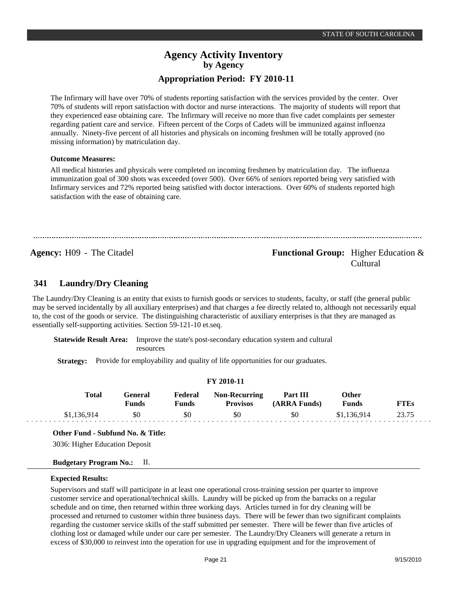The Infirmary will have over 70% of students reporting satisfaction with the services provided by the center. Over 70% of students will report satisfaction with doctor and nurse interactions. The majority of students will report that they experienced ease obtaining care. The Infirmary will receive no more than five cadet complaints per semester regarding patient care and service. Fifteen percent of the Corps of Cadets will be immunized against influenza annually. Ninety-five percent of all histories and physicals on incoming freshmen will be totally approved (no missing information) by matriculation day.

#### **Outcome Measures:**

All medical histories and physicals were completed on incoming freshmen by matriculation day. The influenza immunization goal of 300 shots was exceeded (over 500). Over 66% of seniors reported being very satisfied with Infirmary services and 72% reported being satisfied with doctor interactions. Over 60% of students reported high satisfaction with the ease of obtaining care.

### **Agency:** H09 - The Citadel **Functional Group:** Higher Education & Cultural

#### **Laundry/Dry Cleaning 341**

The Laundry/Dry Cleaning is an entity that exists to furnish goods or services to students, faculty, or staff (the general public may be served incidentally by all auxiliary enterprises) and that charges a fee directly related to, although not necessarily equal to, the cost of the goods or service. The distinguishing characteristic of auxiliary enterprises is that they are managed as essentially self-supporting activities. Section 59-121-10 et.seq.

**Statewide Result Area:** Improve the state's post-secondary education system and cultural resources

**Strategy:** Provide for employability and quality of life opportunities for our graduates.

|  | FY 2010-11 |  |
|--|------------|--|
|--|------------|--|

| <b>Total</b> | General<br><b>Funds</b> | Federal<br>Funds | <b>Non-Recurring</b><br><b>Provisos</b> | Part III<br>(ARRA Funds) | Other<br>Funds | TTEs |
|--------------|-------------------------|------------------|-----------------------------------------|--------------------------|----------------|------|
| \$1,136,914  | \$0                     | \$0              | \$0                                     | \$0                      | \$1,136,914    |      |

**Other Fund - Subfund No. & Title:** 3036: Higher Education Deposit

### **Budgetary Program No.:** II.

#### **Expected Results:**

Supervisors and staff will participate in at least one operational cross-training session per quarter to improve customer service and operational/technical skills. Laundry will be picked up from the barracks on a regular schedule and on time, then returned within three working days. Articles turned in for dry cleaning will be processed and returned to customer within three business days. There will be fewer than two significant complaints regarding the customer service skills of the staff submitted per semester. There will be fewer than five articles of clothing lost or damaged while under our care per semester. The Laundry/Dry Cleaners will generate a return in excess of \$30,000 to reinvest into the operation for use in upgrading equipment and for the improvement of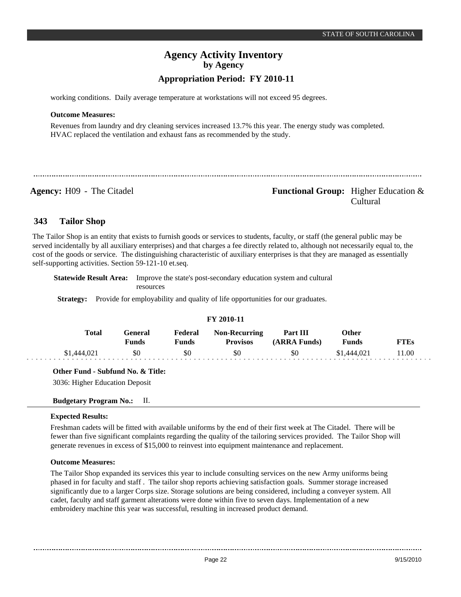working conditions. Daily average temperature at workstations will not exceed 95 degrees.

#### **Outcome Measures:**

Revenues from laundry and dry cleaning services increased 13.7% this year. The energy study was completed. HVAC replaced the ventilation and exhaust fans as recommended by the study.

**Agency:** H09 - The Citadel **Functional Group:** Functional Group: Higher Education & Cultural

#### **Tailor Shop 343**

The Tailor Shop is an entity that exists to furnish goods or services to students, faculty, or staff (the general public may be served incidentally by all auxiliary enterprises) and that charges a fee directly related to, although not necessarily equal to, the cost of the goods or service. The distinguishing characteristic of auxiliary enterprises is that they are managed as essentially self-supporting activities. Section 59-121-10 et.seq.

**Statewide Result Area:** Improve the state's post-secondary education system and cultural resources

**Strategy:** Provide for employability and quality of life opportunities for our graduates.

| T 1 2010-11 |             |                         |                  |                                         |                          |                       |       |  |
|-------------|-------------|-------------------------|------------------|-----------------------------------------|--------------------------|-----------------------|-------|--|
|             | Total       | General<br><b>Funds</b> | Federal<br>Funds | <b>Non-Recurring</b><br><b>Provisos</b> | Part III<br>(ARRA Funds) | Other<br><b>Funds</b> | FTEs  |  |
|             | \$1,444,021 | \$0                     | \$0              | \$0                                     | \$0                      | \$1,444,021           | 11.00 |  |

**FY 2010-11**

**Other Fund - Subfund No. & Title:**

3036: Higher Education Deposit

**Budgetary Program No.:** II.

### **Expected Results:**

Freshman cadets will be fitted with available uniforms by the end of their first week at The Citadel. There will be fewer than five significant complaints regarding the quality of the tailoring services provided. The Tailor Shop will generate revenues in excess of \$15,000 to reinvest into equipment maintenance and replacement.

### **Outcome Measures:**

The Tailor Shop expanded its services this year to include consulting services on the new Army uniforms being phased in for faculty and staff . The tailor shop reports achieving satisfaction goals. Summer storage increased significantly due to a larger Corps size. Storage solutions are being considered, including a conveyer system. All cadet, faculty and staff garment alterations were done within five to seven days. Implementation of a new embroidery machine this year was successful, resulting in increased product demand.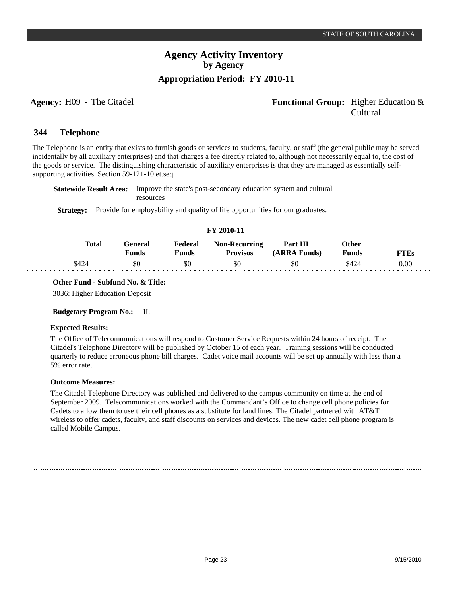### **Agency:** H09 - The Citadel **Functional Group:** Higher Education & Cultural

#### **Telephone 344**

The Telephone is an entity that exists to furnish goods or services to students, faculty, or staff (the general public may be served incidentally by all auxiliary enterprises) and that charges a fee directly related to, although not necessarily equal to, the cost of the goods or service. The distinguishing characteristic of auxiliary enterprises is that they are managed as essentially selfsupporting activities. Section 59-121-10 et.seq.

**Statewide Result Area:** Improve the state's post-secondary education system and cultural resources

**Strategy:** Provide for employability and quality of life opportunities for our graduates.

| FY 2010-11 |              |                         |                  |                                         |                          |                |      |
|------------|--------------|-------------------------|------------------|-----------------------------------------|--------------------------|----------------|------|
|            | <b>Total</b> | General<br><b>Funds</b> | Federal<br>Funds | <b>Non-Recurring</b><br><b>Provisos</b> | Part III<br>(ARRA Funds) | Other<br>Funds | FTEs |
|            | \$424        | \$0                     | \$0              | \$0                                     | \$0                      | \$424          | 0.00 |
|            |              |                         |                  |                                         |                          |                |      |

**Other Fund - Subfund No. & Title:**

3036: Higher Education Deposit

### **Budgetary Program No.:** II.

### **Expected Results:**

The Office of Telecommunications will respond to Customer Service Requests within 24 hours of receipt. The Citadel's Telephone Directory will be published by October 15 of each year. Training sessions will be conducted quarterly to reduce erroneous phone bill charges. Cadet voice mail accounts will be set up annually with less than a 5% error rate.

### **Outcome Measures:**

The Citadel Telephone Directory was published and delivered to the campus community on time at the end of September 2009. Telecommunications worked with the Commandant's Office to change cell phone policies for Cadets to allow them to use their cell phones as a substitute for land lines. The Citadel partnered with AT&T wireless to offer cadets, faculty, and staff discounts on services and devices. The new cadet cell phone program is called Mobile Campus.